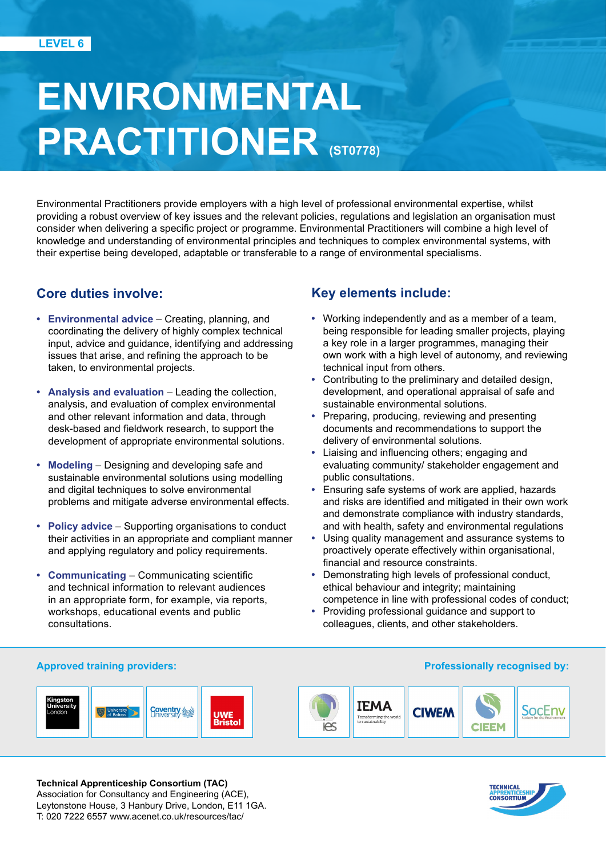# **ENVIRONMENTAL PRACTITIONER (ST0778)**

Environmental Practitioners provide employers with a high level of professional environmental expertise, whilst providing a robust overview of key issues and the relevant policies, regulations and legislation an organisation must consider when delivering a specific project or programme. Environmental Practitioners will combine a high level of knowledge and understanding of environmental principles and techniques to complex environmental systems, with their expertise being developed, adaptable or transferable to a range of environmental specialisms.

# **Core duties involve:**

- **• Environmental advice** Creating, planning, and coordinating the delivery of highly complex technical input, advice and guidance, identifying and addressing issues that arise, and refining the approach to be taken, to environmental projects.
- **• Analysis and evaluation** Leading the collection, analysis, and evaluation of complex environmental and other relevant information and data, through desk-based and fieldwork research, to support the development of appropriate environmental solutions.
- **• Modeling** Designing and developing safe and sustainable environmental solutions using modelling and digital techniques to solve environmental problems and mitigate adverse environmental effects.
- **• Policy advice** Supporting organisations to conduct their activities in an appropriate and compliant manner and applying regulatory and policy requirements.
- **• Communicating** Communicating scientific and technical information to relevant audiences in an appropriate form, for example, via reports, workshops, educational events and public consultations.

# **Key elements include:**

- **•** Working independently and as a member of a team, being responsible for leading smaller projects, playing a key role in a larger programmes, managing their own work with a high level of autonomy, and reviewing technical input from others.
- **•** Contributing to the preliminary and detailed design, development, and operational appraisal of safe and sustainable environmental solutions.
- **•** Preparing, producing, reviewing and presenting documents and recommendations to support the delivery of environmental solutions.
- **•** Liaising and influencing others; engaging and evaluating community/ stakeholder engagement and public consultations.
- **•** Ensuring safe systems of work are applied, hazards and risks are identified and mitigated in their own work and demonstrate compliance with industry standards, and with health, safety and environmental regulations
- **•** Using quality management and assurance systems to proactively operate effectively within organisational, financial and resource constraints.
- **•** Demonstrating high levels of professional conduct, ethical behaviour and integrity; maintaining competence in line with professional codes of conduct;
- **•** Providing professional guidance and support to colleagues, clients, and other stakeholders.

#### **Approved training providers: Professionally recognised by:**





**Technical Apprenticeship Consortium (TAC)**  Association for Consultancy and Engineering (ACE), Leytonstone House, 3 Hanbury Drive, London, E11 1GA. T: 020 7222 6557 www.acenet.co.uk/resources/tac/